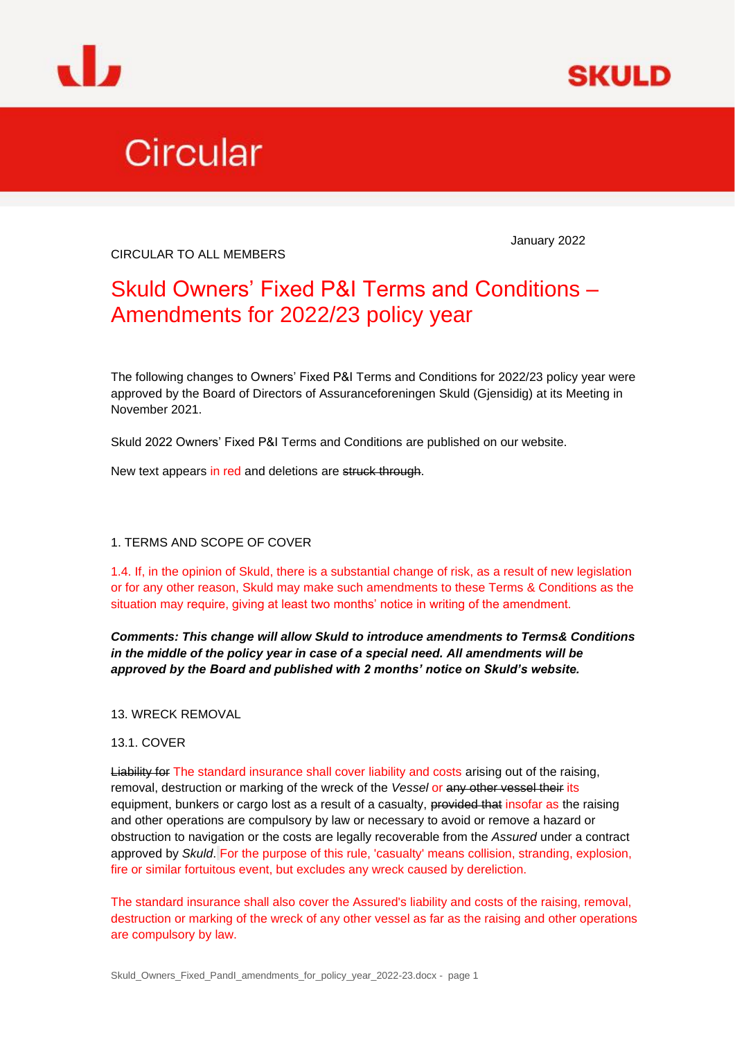



# Circular

CIRCULAR TO ALL MEMBERS

January 2022

# Skuld Owners' Fixed P&I Terms and Conditions – Amendments for 2022/23 policy year

The following changes to Owners' Fixed P&I Terms and Conditions for 2022/23 policy year were approved by the Board of Directors of Assuranceforeningen Skuld (Gjensidig) at its Meeting in November 2021.

Skuld 2022 Owners' Fixed P&I Terms and Conditions are published on our website.

New text appears in red and deletions are struck through.

# 1. TERMS AND SCOPE OF COVER

1.4. If, in the opinion of Skuld, there is a substantial change of risk, as a result of new legislation or for any other reason, Skuld may make such amendments to these Terms & Conditions as the situation may require, giving at least two months' notice in writing of the amendment.

*Comments: This change will allow Skuld to introduce amendments to Terms& Conditions in the middle of the policy year in case of a special need. All amendments will be approved by the Board and published with 2 months' notice on Skuld's website.*

13. WRECK REMOVAL

# 13.1. COVER

Liability for The standard insurance shall cover liability and costs arising out of the raising, removal, destruction or marking of the wreck of the *Vessel* or any other vessel their its equipment, bunkers or cargo lost as a result of a casualty, provided that insofar as the raising and other operations are compulsory by law or necessary to avoid or remove a hazard or obstruction to navigation or the costs are legally recoverable from the *Assured* under a contract approved by *Skuld*. For the purpose of this rule, 'casualty' means collision, stranding, explosion, fire or similar fortuitous event, but excludes any wreck caused by dereliction.

The standard insurance shall also cover the Assured's liability and costs of the raising, removal, destruction or marking of the wreck of any other vessel as far as the raising and other operations are compulsory by law.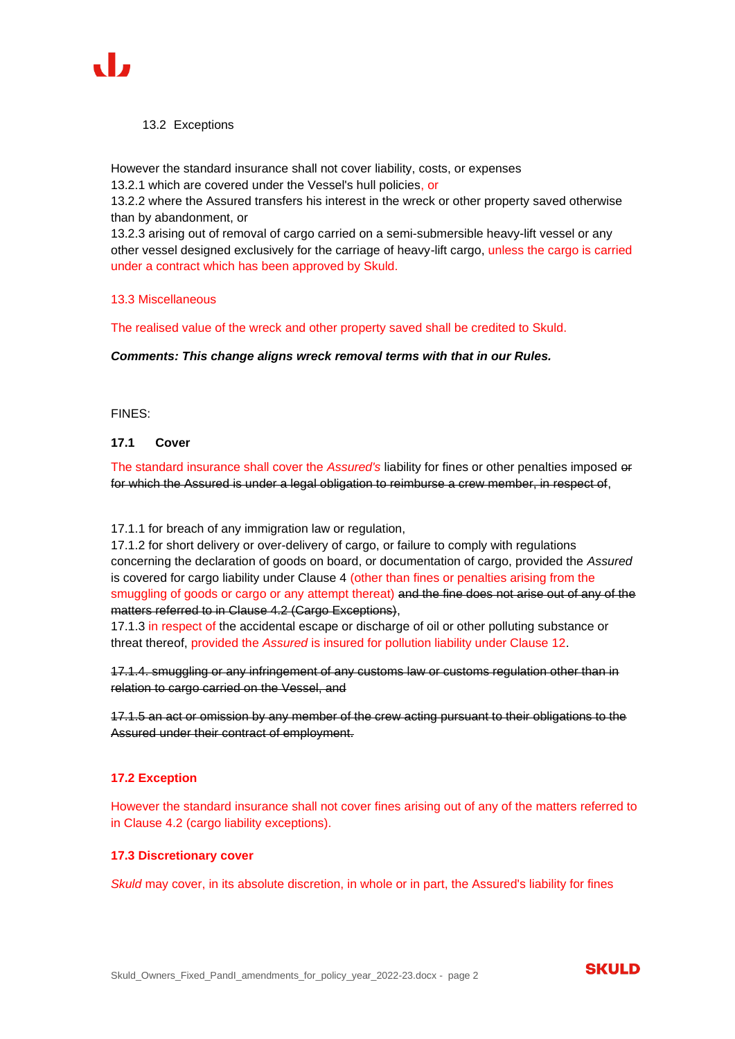

#### 13.2 Exceptions

However the standard insurance shall not cover liability, costs, or expenses 13.2.1 which are covered under the Vessel's hull policies, or

13.2.2 where the Assured transfers his interest in the wreck or other property saved otherwise than by abandonment, or

13.2.3 arising out of removal of cargo carried on a semi-submersible heavy-lift vessel or any other vessel designed exclusively for the carriage of heavy-lift cargo, unless the cargo is carried under a contract which has been approved by Skuld.

#### 13.3 Miscellaneous

The realised value of the wreck and other property saved shall be credited to Skuld.

*Comments: This change aligns wreck removal terms with that in our Rules.*

# FINES:

# **17.1 Cover**

The standard insurance shall cover the *Assured's* liability for fines or other penalties imposed or for which the Assured is under a legal obligation to reimburse a crew member, in respect of,

#### 17.1.1 for breach of any immigration law or regulation,

17.1.2 for short delivery or over-delivery of cargo, or failure to comply with regulations concerning the declaration of goods on board, or documentation of cargo, provided the *Assured* is covered for cargo liability under Clause 4 (other than fines or penalties arising from the smuggling of goods or cargo or any attempt thereat) and the fine does not arise out of any of the matters referred to in Clause 4.2 (Cargo Exceptions),

17.1.3 in respect of the accidental escape or discharge of oil or other polluting substance or threat thereof, provided the *Assured* is insured for pollution liability under Clause 12.

17.1.4. smuggling or any infringement of any customs law or customs regulation other than in relation to cargo carried on the Vessel, and

17.1.5 an act or omission by any member of the crew acting pursuant to their obligations to the Assured under their contract of employment.

# **17.2 Exception**

However the standard insurance shall not cover fines arising out of any of the matters referred to in Clause 4.2 (cargo liability exceptions).

#### **17.3 Discretionary cover**

*Skuld* may cover, in its absolute discretion, in whole or in part, the Assured's liability for fines

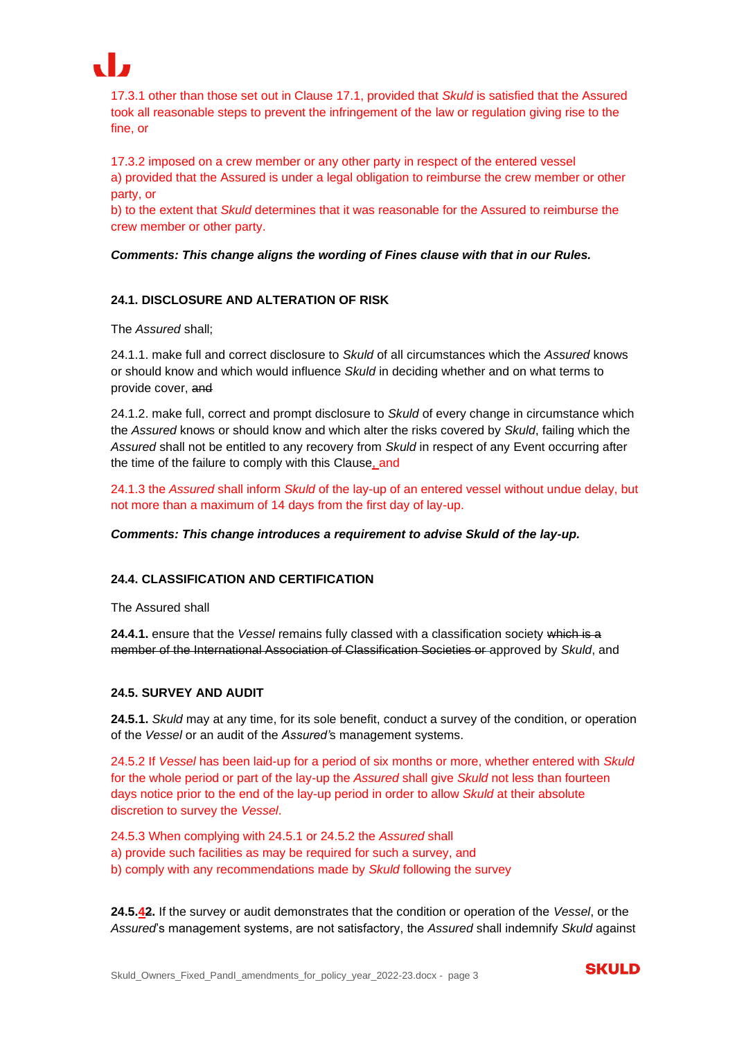

17.3.1 other than those set out in Clause 17.1, provided that *Skuld* is satisfied that the Assured took all reasonable steps to prevent the infringement of the law or regulation giving rise to the fine, or

17.3.2 imposed on a crew member or any other party in respect of the entered vessel a) provided that the Assured is under a legal obligation to reimburse the crew member or other party, or

b) to the extent that *Skuld* determines that it was reasonable for the Assured to reimburse the crew member or other party.

*Comments: This change aligns the wording of Fines clause with that in our Rules.*

# **24.1. DISCLOSURE AND ALTERATION OF RISK**

The *Assured* shall;

24.1.1. make full and correct disclosure to *Skuld* of all circumstances which the *Assured* knows or should know and which would influence *Skuld* in deciding whether and on what terms to provide cover, and

24.1.2. make full, correct and prompt disclosure to *Skuld* of every change in circumstance which the *Assured* knows or should know and which alter the risks covered by *Skuld*, failing which the *Assured* shall not be entitled to any recovery from *Skuld* in respect of any Event occurring after the time of the failure to comply with this Clause, and

24.1.3 the *Assured* shall inform *Skuld* of the lay-up of an entered vessel without undue delay, but not more than a maximum of 14 days from the first day of lay-up.

*Comments: This change introduces a requirement to advise Skuld of the lay-up.*

# **24.4. CLASSIFICATION AND CERTIFICATION**

The Assured shall

**24.4.1.** ensure that the *Vessel* remains fully classed with a classification society which is a member of the International Association of Classification Societies or approved by *Skuld*, and

#### **24.5. SURVEY AND AUDIT**

**24.5.1.** *Skuld* may at any time, for its sole benefit, conduct a survey of the condition, or operation of the *Vessel* or an audit of the *Assured'*s management systems.

24.5.2 If *Vessel* has been laid-up for a period of six months or more, whether entered with *Skuld*  for the whole period or part of the lay-up the *Assured* shall give *Skuld* not less than fourteen days notice prior to the end of the lay-up period in order to allow *Skuld* at their absolute discretion to survey the *Vessel*.

24.5.3 When complying with 24.5.1 or 24.5.2 the *Assured* shall a) provide such facilities as may be required for such a survey, and b) comply with any recommendations made by *Skuld* following the survey

**24.5.42.** If the survey or audit demonstrates that the condition or operation of the *Vessel*, or the *Assured*'s management systems, are not satisfactory, the *Assured* shall indemnify *Skuld* against

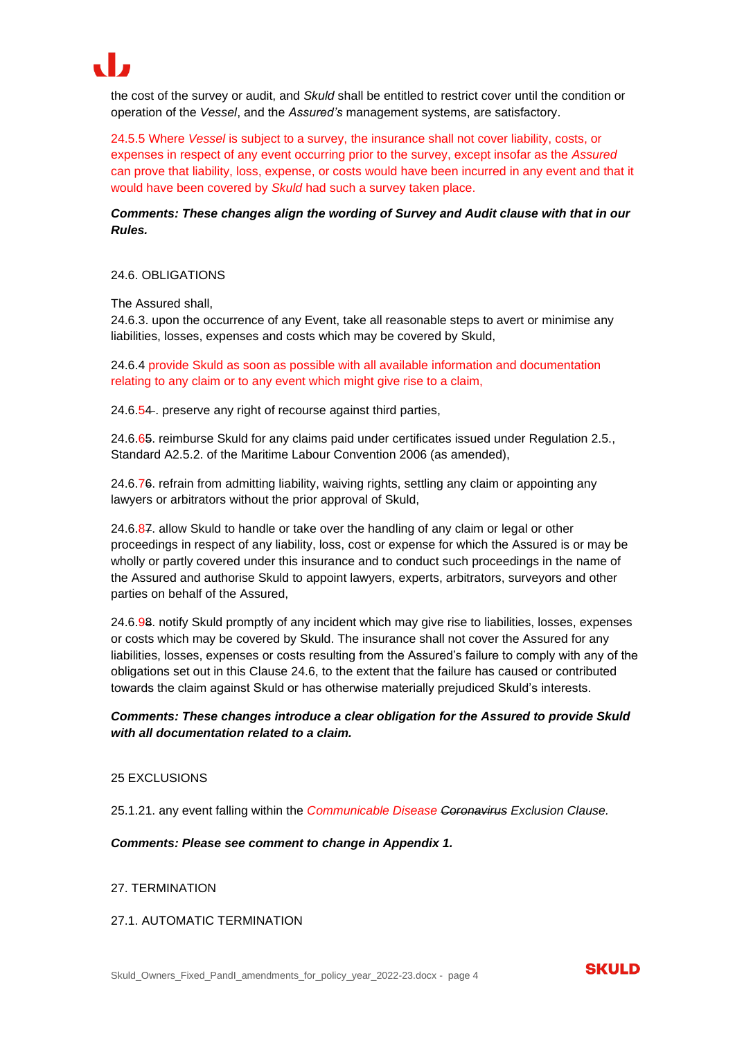

the cost of the survey or audit, and *Skuld* shall be entitled to restrict cover until the condition or operation of the *Vessel*, and the *Assured's* management systems, are satisfactory.

24.5.5 Where *Vessel* is subject to a survey, the insurance shall not cover liability, costs, or expenses in respect of any event occurring prior to the survey, except insofar as the *Assured* can prove that liability, loss, expense, or costs would have been incurred in any event and that it would have been covered by *Skuld* had such a survey taken place.

*Comments: These changes align the wording of Survey and Audit clause with that in our Rules.*

#### 24.6. OBLIGATIONS

#### The Assured shall,

24.6.3. upon the occurrence of any Event, take all reasonable steps to avert or minimise any liabilities, losses, expenses and costs which may be covered by Skuld,

24.6.4 provide Skuld as soon as possible with all available information and documentation relating to any claim or to any event which might give rise to a claim,

24.6.54. preserve any right of recourse against third parties,

24.6.65. reimburse Skuld for any claims paid under certificates issued under Regulation 2.5., Standard A2.5.2. of the Maritime Labour Convention 2006 (as amended),

24.6.76. refrain from admitting liability, waiving rights, settling any claim or appointing any lawyers or arbitrators without the prior approval of Skuld,

24.6.87. allow Skuld to handle or take over the handling of any claim or legal or other proceedings in respect of any liability, loss, cost or expense for which the Assured is or may be wholly or partly covered under this insurance and to conduct such proceedings in the name of the Assured and authorise Skuld to appoint lawyers, experts, arbitrators, surveyors and other parties on behalf of the Assured,

24.6.98. notify Skuld promptly of any incident which may give rise to liabilities, losses, expenses or costs which may be covered by Skuld. The insurance shall not cover the Assured for any liabilities, losses, expenses or costs resulting from the Assured's failure to comply with any of the obligations set out in this Clause 24.6, to the extent that the failure has caused or contributed towards the claim against Skuld or has otherwise materially prejudiced Skuld's interests.

# *Comments: These changes introduce a clear obligation for the Assured to provide Skuld with all documentation related to a claim.*

#### 25 EXCLUSIONS

25.1.21. any event falling within the *Communicable Disease Coronavirus Exclusion Clause.*

#### *Comments: Please see comment to change in Appendix 1.*

#### 27. TERMINATION

# 27.1. AUTOMATIC TERMINATION

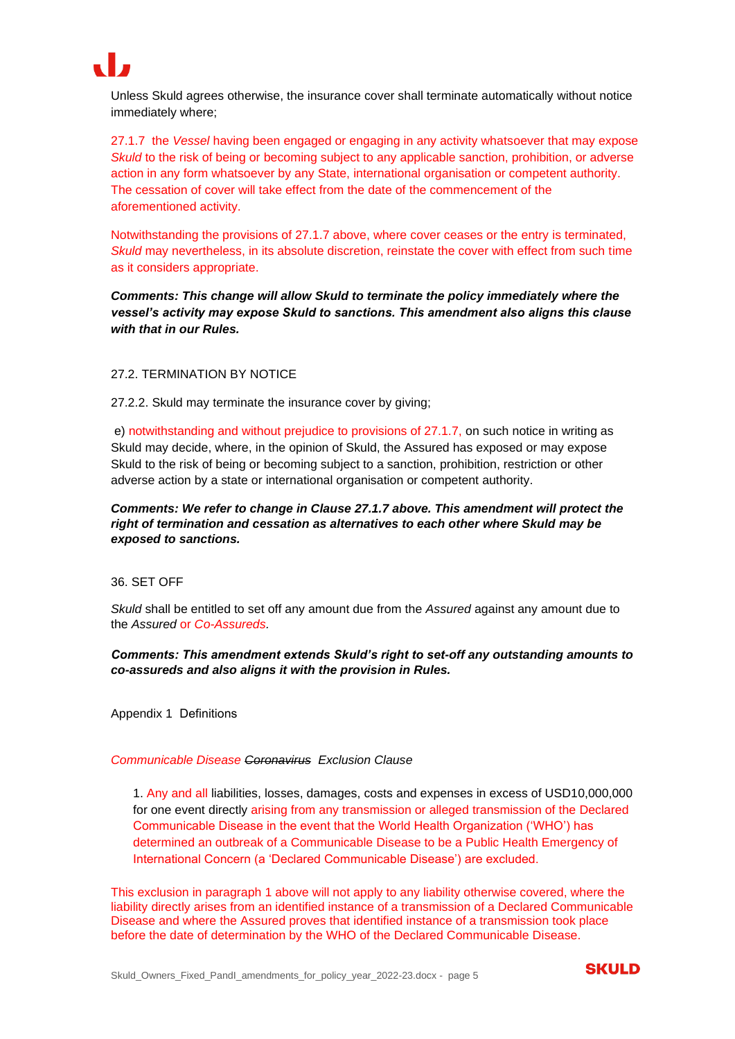

Unless Skuld agrees otherwise, the insurance cover shall terminate automatically without notice immediately where;

27.1.7 the *Vessel* having been engaged or engaging in any activity whatsoever that may expose *Skuld* to the risk of being or becoming subject to any applicable sanction, prohibition, or adverse action in any form whatsoever by any State, international organisation or competent authority. The cessation of cover will take effect from the date of the commencement of the aforementioned activity.

Notwithstanding the provisions of 27.1.7 above, where cover ceases or the entry is terminated, *Skuld* may nevertheless, in its absolute discretion, reinstate the cover with effect from such time as it considers appropriate.

*Comments: This change will allow Skuld to terminate the policy immediately where the vessel's activity may expose Skuld to sanctions. This amendment also aligns this clause with that in our Rules.*

# 27.2. TERMINATION BY NOTICE

27.2.2. Skuld may terminate the insurance cover by giving;

e) notwithstanding and without prejudice to provisions of 27.1.7, on such notice in writing as Skuld may decide, where, in the opinion of Skuld, the Assured has exposed or may expose Skuld to the risk of being or becoming subject to a sanction, prohibition, restriction or other adverse action by a state or international organisation or competent authority.

# *Comments: We refer to change in Clause 27.1.7 above. This amendment will protect the right of termination and cessation as alternatives to each other where Skuld may be exposed to sanctions.*

#### 36. SET OFF

*Skuld* shall be entitled to set off any amount due from the *Assured* against any amount due to the *Assured* or *Co-Assureds.*

# *Comments: This amendment extends Skuld's right to set-off any outstanding amounts to co-assureds and also aligns it with the provision in Rules.*

Appendix 1 Definitions 

#### *Communicable Disease Coronavirus Exclusion Clause*

1. Any and all liabilities, losses, damages, costs and expenses in excess of USD10,000,000 for one event directly arising from any transmission or alleged transmission of the Declared Communicable Disease in the event that the World Health Organization ('WHO') has determined an outbreak of a Communicable Disease to be a Public Health Emergency of International Concern (a 'Declared Communicable Disease') are excluded.

This exclusion in paragraph 1 above will not apply to any liability otherwise covered, where the liability directly arises from an identified instance of a transmission of a Declared Communicable Disease and where the Assured proves that identified instance of a transmission took place before the date of determination by the WHO of the Declared Communicable Disease.